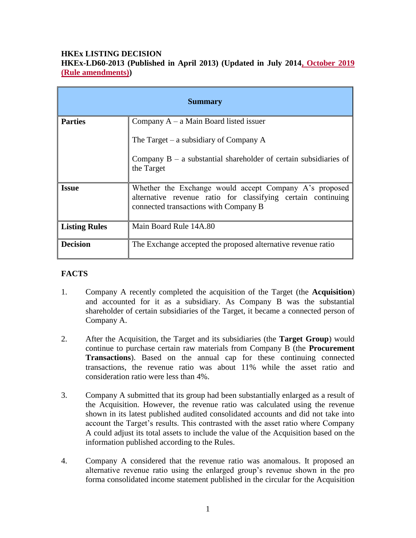## **HKEx LISTING DECISION HKEx-LD60-2013 (Published in April 2013) (Updated in July 2014, October 2019 (Rule amendments))**

| <b>Summary</b>       |                                                                                                                                                                 |
|----------------------|-----------------------------------------------------------------------------------------------------------------------------------------------------------------|
| <b>Parties</b>       | Company $A - a$ Main Board listed issuer                                                                                                                        |
|                      | The Target – a subsidiary of Company $A$                                                                                                                        |
|                      | Company $B - a$ substantial shareholder of certain subsidiaries of<br>the Target                                                                                |
| <b>Issue</b>         | Whether the Exchange would accept Company A's proposed<br>alternative revenue ratio for classifying certain continuing<br>connected transactions with Company B |
| <b>Listing Rules</b> | Main Board Rule 14A.80                                                                                                                                          |
| <b>Decision</b>      | The Exchange accepted the proposed alternative revenue ratio                                                                                                    |

# **FACTS**

- 1. Company A recently completed the acquisition of the Target (the **Acquisition**) and accounted for it as a subsidiary. As Company B was the substantial shareholder of certain subsidiaries of the Target, it became a connected person of Company A.
- 2. After the Acquisition, the Target and its subsidiaries (the **Target Group**) would continue to purchase certain raw materials from Company B (the **Procurement Transactions**). Based on the annual cap for these continuing connected transactions, the revenue ratio was about 11% while the asset ratio and consideration ratio were less than 4%.
- 3. Company A submitted that its group had been substantially enlarged as a result of the Acquisition. However, the revenue ratio was calculated using the revenue shown in its latest published audited consolidated accounts and did not take into account the Target's results. This contrasted with the asset ratio where Company A could adjust its total assets to include the value of the Acquisition based on the information published according to the Rules.
- 4. Company A considered that the revenue ratio was anomalous. It proposed an alternative revenue ratio using the enlarged group's revenue shown in the pro forma consolidated income statement published in the circular for the Acquisition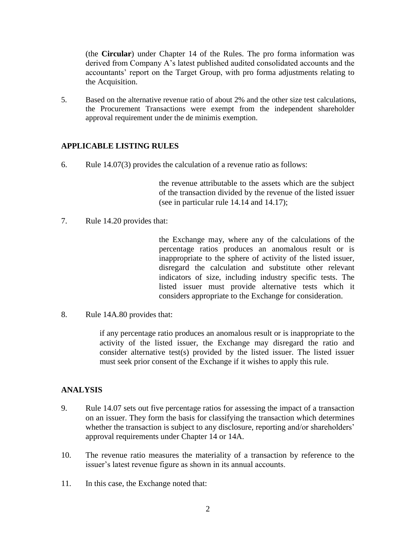(the **Circular**) under Chapter 14 of the Rules. The pro forma information was derived from Company A's latest published audited consolidated accounts and the accountants' report on the Target Group, with pro forma adjustments relating to the Acquisition.

5. Based on the alternative revenue ratio of about 2% and the other size test calculations, the Procurement Transactions were exempt from the independent shareholder approval requirement under the de minimis exemption.

### **APPLICABLE LISTING RULES**

6. Rule 14.07(3) provides the calculation of a revenue ratio as follows:

the revenue attributable to the assets which are the subject of the transaction divided by the revenue of the listed issuer (see in particular rule 14.14 and 14.17);

7. Rule 14.20 provides that:

the Exchange may, where any of the calculations of the percentage ratios produces an anomalous result or is inappropriate to the sphere of activity of the listed issuer, disregard the calculation and substitute other relevant indicators of size, including industry specific tests. The listed issuer must provide alternative tests which it considers appropriate to the Exchange for consideration.

8. Rule 14A.80 provides that:

if any percentage ratio produces an anomalous result or is inappropriate to the activity of the listed issuer, the Exchange may disregard the ratio and consider alternative test(s) provided by the listed issuer. The listed issuer must seek prior consent of the Exchange if it wishes to apply this rule.

#### **ANALYSIS**

- 9. Rule 14.07 sets out five percentage ratios for assessing the impact of a transaction on an issuer. They form the basis for classifying the transaction which determines whether the transaction is subject to any disclosure, reporting and/or shareholders' approval requirements under Chapter 14 or 14A.
- 10. The revenue ratio measures the materiality of a transaction by reference to the issuer's latest revenue figure as shown in its annual accounts.
- 11. In this case, the Exchange noted that: